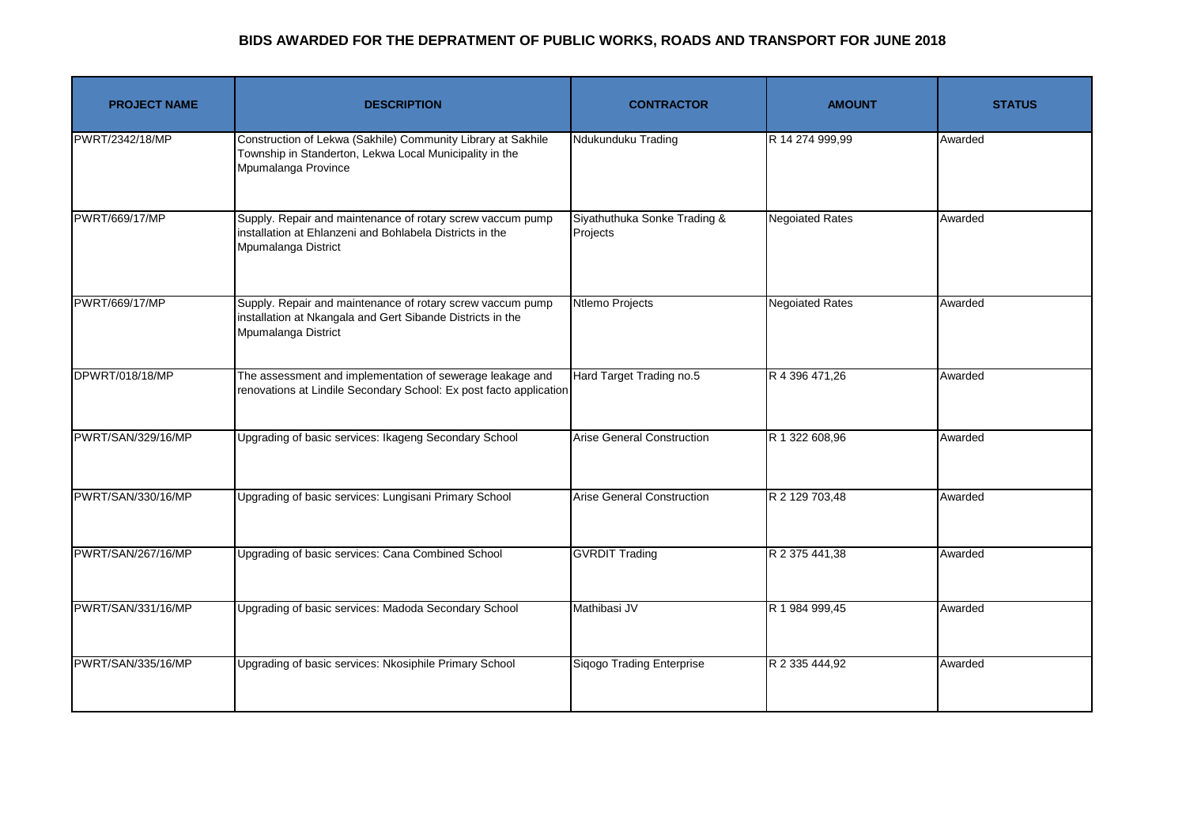## **BIDS AWARDED FOR THE DEPRATMENT OF PUBLIC WORKS, ROADS AND TRANSPORT FOR JUNE 2018**

| <b>PROJECT NAME</b> | <b>DESCRIPTION</b>                                                                                                                              | <b>CONTRACTOR</b>                        | <b>AMOUNT</b>          | <b>STATUS</b> |
|---------------------|-------------------------------------------------------------------------------------------------------------------------------------------------|------------------------------------------|------------------------|---------------|
| PWRT/2342/18/MP     | Construction of Lekwa (Sakhile) Community Library at Sakhile<br>Township in Standerton, Lekwa Local Municipality in the<br>Mpumalanga Province  | Ndukunduku Trading                       | R 14 274 999,99        | Awarded       |
| PWRT/669/17/MP      | Supply. Repair and maintenance of rotary screw vaccum pump<br>installation at Ehlanzeni and Bohlabela Districts in the<br>Mpumalanga District   | Siyathuthuka Sonke Trading &<br>Projects | <b>Negoiated Rates</b> | Awarded       |
| PWRT/669/17/MP      | Supply. Repair and maintenance of rotary screw vaccum pump<br>installation at Nkangala and Gert Sibande Districts in the<br>Mpumalanga District | Ntlemo Projects                          | <b>Negoiated Rates</b> | Awarded       |
| DPWRT/018/18/MP     | The assessment and implementation of sewerage leakage and<br>renovations at Lindile Secondary School: Ex post facto application                 | Hard Target Trading no.5                 | R 4 396 471,26         | Awarded       |
| PWRT/SAN/329/16/MP  | Upgrading of basic services: Ikageng Secondary School                                                                                           | <b>Arise General Construction</b>        | R 1 322 608,96         | Awarded       |
| PWRT/SAN/330/16/MP  | Upgrading of basic services: Lungisani Primary School                                                                                           | <b>Arise General Construction</b>        | R 2 129 703,48         | Awarded       |
| PWRT/SAN/267/16/MP  | Upgrading of basic services: Cana Combined School                                                                                               | <b>GVRDIT Trading</b>                    | R 2 375 441,38         | Awarded       |
| PWRT/SAN/331/16/MP  | Upgrading of basic services: Madoda Secondary School                                                                                            | Mathibasi JV                             | R 1 984 999,45         | Awarded       |
| PWRT/SAN/335/16/MP  | Upgrading of basic services: Nkosiphile Primary School                                                                                          | Sigogo Trading Enterprise                | R 2 335 444,92         | Awarded       |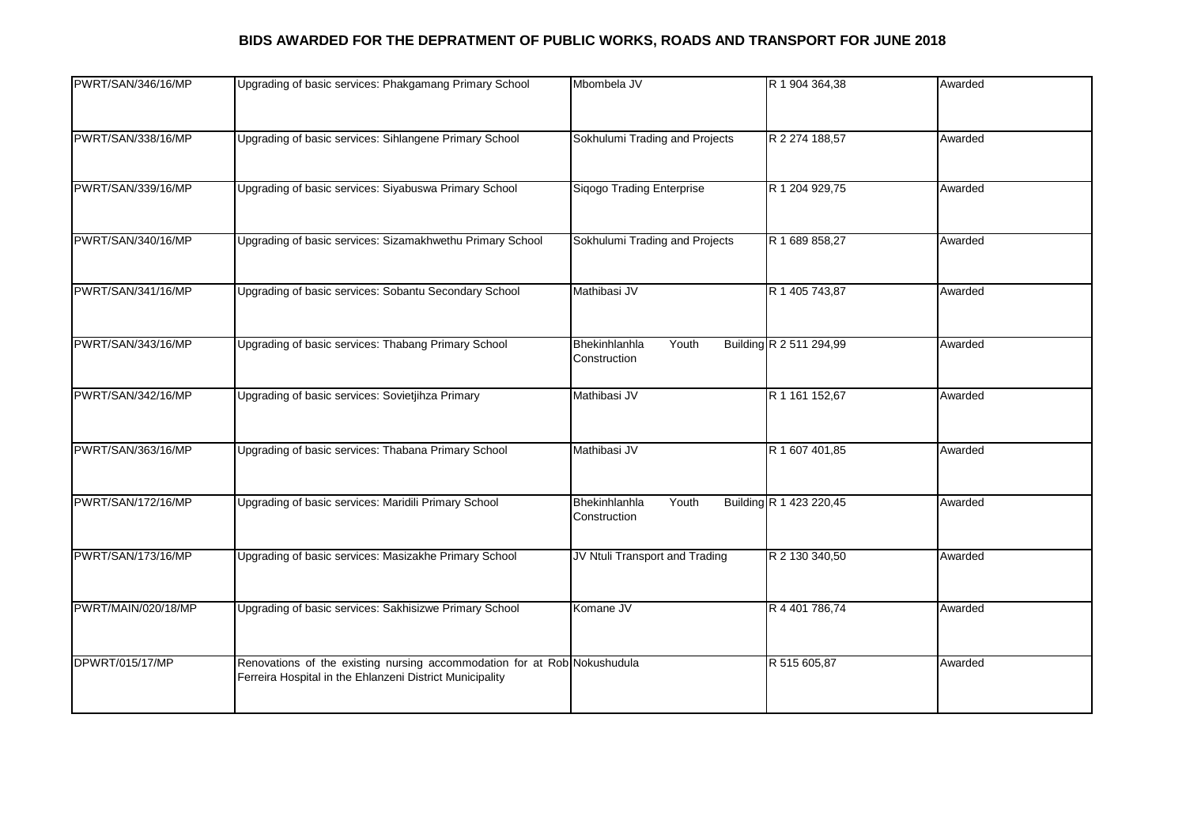## **BIDS AWARDED FOR THE DEPRATMENT OF PUBLIC WORKS, ROADS AND TRANSPORT FOR JUNE 2018**

| PWRT/SAN/346/16/MP  | Upgrading of basic services: Phakgamang Primary School                                                                               | Mbombela JV                            | R 1 904 364,38          | Awarded |
|---------------------|--------------------------------------------------------------------------------------------------------------------------------------|----------------------------------------|-------------------------|---------|
| PWRT/SAN/338/16/MP  | Upgrading of basic services: Sihlangene Primary School                                                                               | Sokhulumi Trading and Projects         | R 2 274 188,57          | Awarded |
| PWRT/SAN/339/16/MP  | Upgrading of basic services: Siyabuswa Primary School                                                                                | Siqogo Trading Enterprise              | R 1 204 929,75          | Awarded |
| PWRT/SAN/340/16/MP  | Upgrading of basic services: Sizamakhwethu Primary School                                                                            | Sokhulumi Trading and Projects         | R 1 689 858,27          | Awarded |
| PWRT/SAN/341/16/MP  | Upgrading of basic services: Sobantu Secondary School                                                                                | Mathibasi JV                           | R 1 405 743,87          | Awarded |
| PWRT/SAN/343/16/MP  | Upgrading of basic services: Thabang Primary School                                                                                  | Bhekinhlanhla<br>Youth<br>Construction | Building R 2 511 294,99 | Awarded |
| PWRT/SAN/342/16/MP  | Upgrading of basic services: Sovietjihza Primary                                                                                     | Mathibasi JV                           | R 1 161 152,67          | Awarded |
| PWRT/SAN/363/16/MP  | Upgrading of basic services: Thabana Primary School                                                                                  | Mathibasi JV                           | R 1 607 401,85          | Awarded |
| PWRT/SAN/172/16/MP  | Upgrading of basic services: Maridili Primary School                                                                                 | Bhekinhlanhla<br>Youth<br>Construction | Building R 1 423 220,45 | Awarded |
| PWRT/SAN/173/16/MP  | Upgrading of basic services: Masizakhe Primary School                                                                                | JV Ntuli Transport and Trading         | R 2 130 340,50          | Awarded |
| PWRT/MAIN/020/18/MP | Upgrading of basic services: Sakhisizwe Primary School                                                                               | Komane JV                              | R 4 401 786,74          | Awarded |
| DPWRT/015/17/MP     | Renovations of the existing nursing accommodation for at Rob Nokushudula<br>Ferreira Hospital in the Ehlanzeni District Municipality |                                        | R 515 605,87            | Awarded |